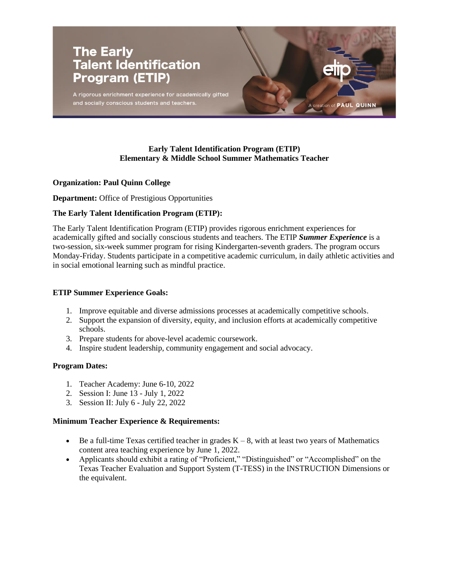

# **Early Talent Identification Program (ETIP) Elementary & Middle School Summer Mathematics Teacher**

# **Organization: Paul Quinn College**

**Department:** Office of Prestigious Opportunities

### **The Early Talent Identification Program (ETIP):**

The Early Talent Identification Program (ETIP) provides rigorous enrichment experiences for academically gifted and socially conscious students and teachers. The ETIP *Summer Experience* is a two-session, six-week summer program for rising Kindergarten-seventh graders. The program occurs Monday-Friday. Students participate in a competitive academic curriculum, in daily athletic activities and in social emotional learning such as mindful practice.

## **ETIP Summer Experience Goals:**

- 1. Improve equitable and diverse admissions processes at academically competitive schools.
- 2. Support the expansion of diversity, equity, and inclusion efforts at academically competitive schools.
- 3. Prepare students for above-level academic coursework.
- 4. Inspire student leadership, community engagement and social advocacy.

#### **Program Dates:**

- 1. Teacher Academy: June 6-10, 2022
- 2. Session I: June 13 July 1, 2022
- 3. Session II: July 6 July 22, 2022

#### **Minimum Teacher Experience & Requirements:**

- Be a full-time Texas certified teacher in grades  $K 8$ , with at least two years of Mathematics content area teaching experience by June 1, 2022.
- Applicants should exhibit a rating of "Proficient," "Distinguished" or "Accomplished" on the Texas Teacher Evaluation and Support System (T-TESS) in the INSTRUCTION Dimensions or the equivalent.